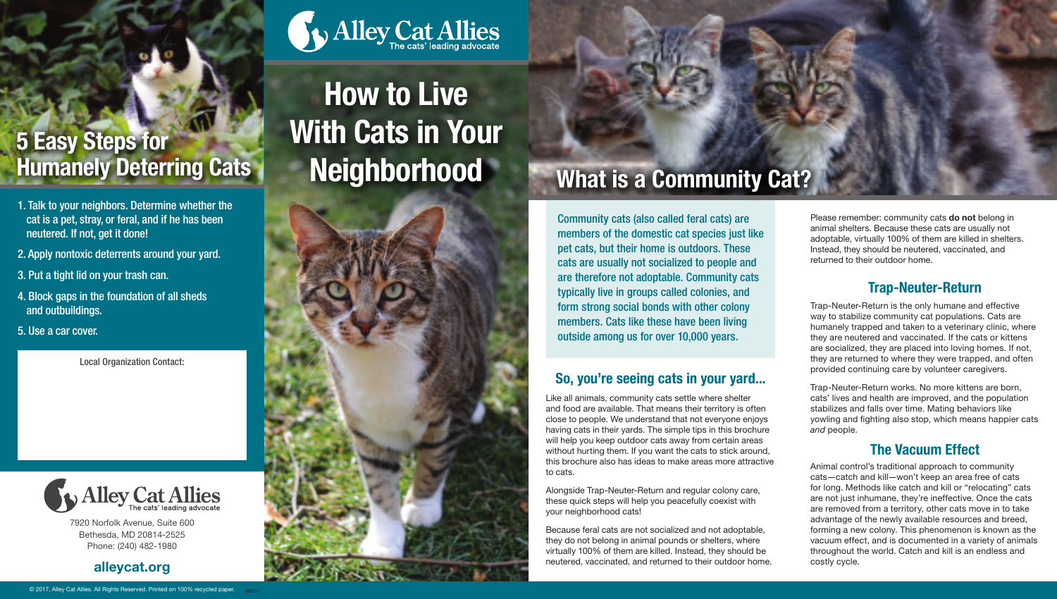## 5 Easy Steps for **Humanely Deterring Cats**

- 1. Talk to your neighbors. Determine whether the cat is a pet, stray, or feral, and if he has been neutered. If not, get it done!
- 2. Apply nontoxic deterrents around your yard.
- 3. Put a tight lid on your trash can.
- 4. Block gaps in the foundation of all sheds and outbuildings.

5. Use a car cover.

Local Organization Contact:



7920 Norfolk Avenue, Suite 600 Bethesda, MD 20814-2525 Phone: (240) 482-1980

#### alleycat.org

# How to Live With Cats in Your **Neighborhood**

Alley Cat Allies



## What is a Community Cat?

Community cats (also called feral cats) are members of the domestic cat species just like pet cats, but their home is outdoors. These cats are usually not socialized to people and are therefore not adoptable. Community cats typically live in groups called colonies, and form strong social bonds with other colony members. Cats like these have been living outside among us for over 10,000 years.

#### So, you're seeing cats in your yard...

Like all animals, community cats settle where shelter and food are available. That means their territory is often close to people. We understand that not everyone enjoys having cats in their yards. The simple tips in this brochure will help you keep outdoor cats away from certain areas without hurting them. If you want the cats to stick around, this brochure also has ideas to make areas more attractive to cats.

Alongside Trap-Neuter-Return and regular colony care, these quick steps will help you peacefully coexist with your neighborhood cats!

Because feral cats are not socialized and not adoptable, they do not belong in animal pounds or shelters, where virtually 100% of them are killed. Instead, they should be neutered, vaccinated, and returned to their outdoor home. Please remember: community cats do not belong in animal shelters. Because these cats are usually not adoptable, virtually 100% of them are killed in shelters. Instead, they should be neutered, vaccinated, and returned to their outdoor home.

#### Trap-Neuter-Return

Trap-Neuter-Return is the only humane and effective way to stabilize community cat populations. Cats are humanely trapped and taken to a veterinary clinic, where they are neutered and vaccinated. If the cats or kittens are socialized, they are placed into loving homes. If not, they are returned to where they were trapped, and often provided continuing care by volunteer caregivers.

Trap-Neuter-Return works. No more kittens are born, cats' lives and health are improved, and the population stabilizes and falls over time. Mating behaviors like yowling and fighting also stop, which means happier cats *and* people.

### The Vacuum Effect

Animal control's traditional approach to community cats—catch and kill—won't keep an area free of cats for long. Methods like catch and kill or "relocating" cats are not just inhumane, they're ineffective. Once the cats are removed from a territory, other cats move in to take advantage of the newly available resources and breed, forming a new colony. This phenomenon is known as the vacuum effect, and is documented in a variety of animals throughout the world. Catch and kill is an endless and costly cycle.